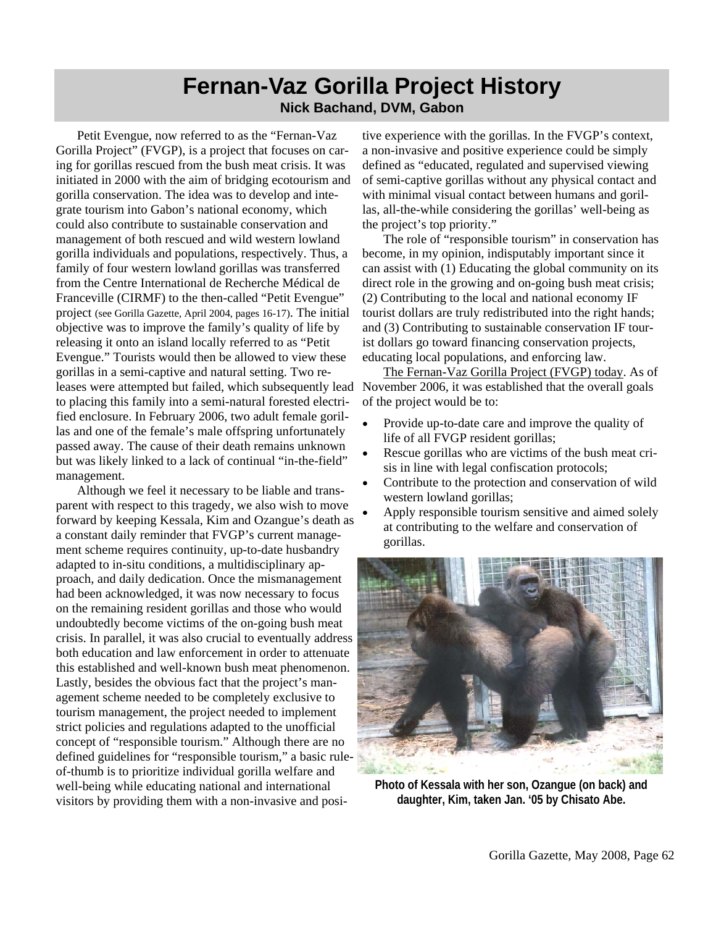## **Fernan-Vaz Gorilla Project History Nick Bachand, DVM, Gabon**

Petit Evengue, now referred to as the "Fernan-Vaz Gorilla Project" (FVGP), is a project that focuses on caring for gorillas rescued from the bush meat crisis. It was initiated in 2000 with the aim of bridging ecotourism and gorilla conservation. The idea was to develop and integrate tourism into Gabon's national economy, which could also contribute to sustainable conservation and management of both rescued and wild western lowland gorilla individuals and populations, respectively. Thus, a family of four western lowland gorillas was transferred from the Centre International de Recherche Médical de Franceville (CIRMF) to the then-called "Petit Evengue" project (see Gorilla Gazette, April 2004, pages 16-17). The initial objective was to improve the family's quality of life by releasing it onto an island locally referred to as "Petit Evengue." Tourists would then be allowed to view these gorillas in a semi-captive and natural setting. Two releases were attempted but failed, which subsequently lead November 2006, it was established that the overall goals to placing this family into a semi-natural forested electrified enclosure. In February 2006, two adult female gorillas and one of the female's male offspring unfortunately passed away. The cause of their death remains unknown but was likely linked to a lack of continual "in-the-field" management.

Although we feel it necessary to be liable and transparent with respect to this tragedy, we also wish to move forward by keeping Kessala, Kim and Ozangue's death as a constant daily reminder that FVGP's current management scheme requires continuity, up-to-date husbandry adapted to in-situ conditions, a multidisciplinary approach, and daily dedication. Once the mismanagement had been acknowledged, it was now necessary to focus on the remaining resident gorillas and those who would undoubtedly become victims of the on-going bush meat crisis. In parallel, it was also crucial to eventually address both education and law enforcement in order to attenuate this established and well-known bush meat phenomenon. Lastly, besides the obvious fact that the project's management scheme needed to be completely exclusive to tourism management, the project needed to implement strict policies and regulations adapted to the unofficial concept of "responsible tourism." Although there are no defined guidelines for "responsible tourism," a basic ruleof-thumb is to prioritize individual gorilla welfare and well-being while educating national and international visitors by providing them with a non-invasive and posi-

tive experience with the gorillas. In the FVGP's context, a non-invasive and positive experience could be simply defined as "educated, regulated and supervised viewing of semi-captive gorillas without any physical contact and with minimal visual contact between humans and gorillas, all-the-while considering the gorillas' well-being as the project's top priority."

The role of "responsible tourism" in conservation has become, in my opinion, indisputably important since it can assist with (1) Educating the global community on its direct role in the growing and on-going bush meat crisis; (2) Contributing to the local and national economy IF tourist dollars are truly redistributed into the right hands; and (3) Contributing to sustainable conservation IF tourist dollars go toward financing conservation projects, educating local populations, and enforcing law.

The Fernan-Vaz Gorilla Project (FVGP) today. As of of the project would be to:

- Provide up-to-date care and improve the quality of life of all FVGP resident gorillas;
- Rescue gorillas who are victims of the bush meat crisis in line with legal confiscation protocols;
- Contribute to the protection and conservation of wild western lowland gorillas;
- Apply responsible tourism sensitive and aimed solely at contributing to the welfare and conservation of gorillas.



**Photo of Kessala with her son, Ozangue (on back) and daughter, Kim, taken Jan. '05 by Chisato Abe.**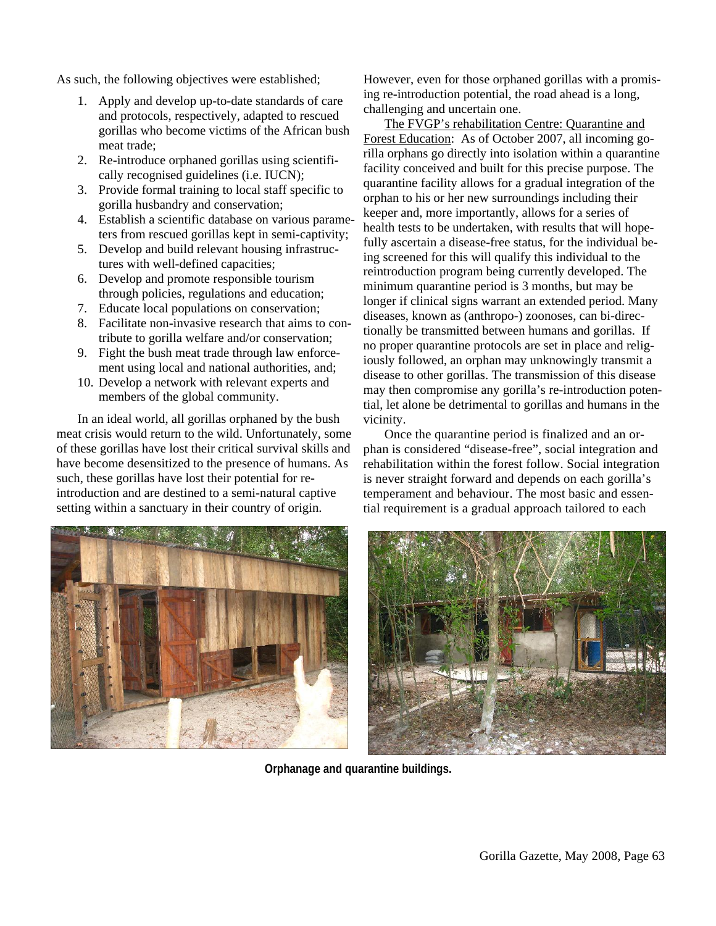As such, the following objectives were established;

- 1. Apply and develop up-to-date standards of care and protocols, respectively, adapted to rescued gorillas who become victims of the African bush meat trade;
- 2. Re-introduce orphaned gorillas using scientifically recognised guidelines (i.e. IUCN);
- 3. Provide formal training to local staff specific to gorilla husbandry and conservation;
- 4. Establish a scientific database on various parameters from rescued gorillas kept in semi-captivity;
- 5. Develop and build relevant housing infrastructures with well-defined capacities;
- 6. Develop and promote responsible tourism through policies, regulations and education;
- 7. Educate local populations on conservation;
- 8. Facilitate non-invasive research that aims to contribute to gorilla welfare and/or conservation;
- 9. Fight the bush meat trade through law enforcement using local and national authorities, and;
- 10. Develop a network with relevant experts and members of the global community.

In an ideal world, all gorillas orphaned by the bush meat crisis would return to the wild. Unfortunately, some of these gorillas have lost their critical survival skills and have become desensitized to the presence of humans. As such, these gorillas have lost their potential for reintroduction and are destined to a semi-natural captive setting within a sanctuary in their country of origin.

However, even for those orphaned gorillas with a promising re-introduction potential, the road ahead is a long, challenging and uncertain one.

The FVGP's rehabilitation Centre: Quarantine and Forest Education: As of October 2007, all incoming gorilla orphans go directly into isolation within a quarantine facility conceived and built for this precise purpose. The quarantine facility allows for a gradual integration of the orphan to his or her new surroundings including their keeper and, more importantly, allows for a series of health tests to be undertaken, with results that will hopefully ascertain a disease-free status, for the individual being screened for this will qualify this individual to the reintroduction program being currently developed. The minimum quarantine period is 3 months, but may be longer if clinical signs warrant an extended period. Many diseases, known as (anthropo-) zoonoses, can bi-directionally be transmitted between humans and gorillas. If no proper quarantine protocols are set in place and religiously followed, an orphan may unknowingly transmit a disease to other gorillas. The transmission of this disease may then compromise any gorilla's re-introduction potential, let alone be detrimental to gorillas and humans in the vicinity.

Once the quarantine period is finalized and an orphan is considered "disease-free", social integration and rehabilitation within the forest follow. Social integration is never straight forward and depends on each gorilla's temperament and behaviour. The most basic and essential requirement is a gradual approach tailored to each





**Orphanage and quarantine buildings.**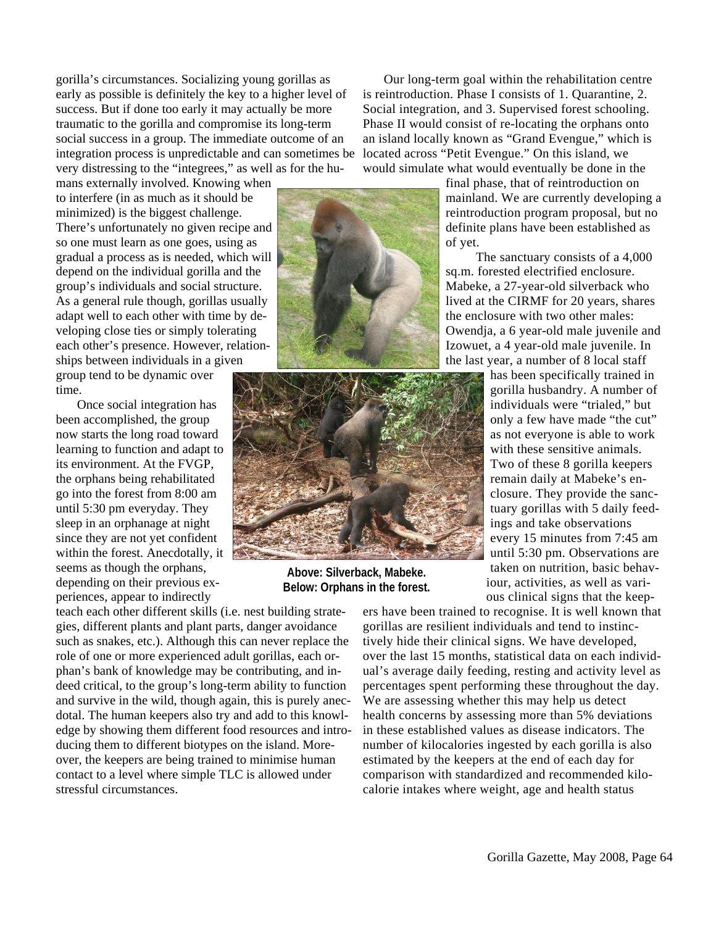gorilla's circumstances. Socializing young gorillas as early as possible is definitely the key to a higher level of success. But if done too early it may actually be more traumatic to the gorilla and compromise its long-term social success in a group. The immediate outcome of an integration process is unpredictable and can sometimes be very distressing to the "integrees," as well as for the hu-

mans externally involved. Knowing when to interfere (in as much as it should be minimized) is the biggest challenge. There's unfortunately no given recipe and so one must learn as one goes, using as gradual a process as is needed, which will depend on the individual gorilla and the group's individuals and social structure. As a general rule though, gorillas usually adapt well to each other with time by developing close ties or simply tolerating each other's presence. However, relationships between individuals in a given

group tend to be dynamic over time.

Once social integration has been accomplished, the group now starts the long road toward learning to function and adapt to its environment. At the FVGP, the orphans being rehabilitated go into the forest from 8:00 am until 5:30 pm everyday. They sleep in an orphanage at night since they are not yet confident within the forest. Anecdotally, it seems as though the orphans, depending on their previous experiences, appear to indirectly

teach each other different skills (i.e. nest building strategies, different plants and plant parts, danger avoidance such as snakes, etc.). Although this can never replace the role of one or more experienced adult gorillas, each orphan's bank of knowledge may be contributing, and indeed critical, to the group's long-term ability to function and survive in the wild, though again, this is purely anecdotal. The human keepers also try and add to this knowledge by showing them different food resources and introducing them to different biotypes on the island. Moreover, the keepers are being trained to minimise human contact to a level where simple TLC is allowed under stressful circumstances.





**Above: Silverback, Mabeke. Below: Orphans in the forest.** 

Our long-term goal within the rehabilitation centre is reintroduction. Phase I consists of 1. Quarantine, 2. Social integration, and 3. Supervised forest schooling. Phase II would consist of re-locating the orphans onto an island locally known as "Grand Evengue," which is located across "Petit Evengue." On this island, we would simulate what would eventually be done in the

> final phase, that of reintroduction on mainland. We are currently developing a reintroduction program proposal, but no definite plans have been established as of yet.

> The sanctuary consists of a 4,000 sq.m. forested electrified enclosure. Mabeke, a 27-year-old silverback who lived at the CIRMF for 20 years, shares the enclosure with two other males: Owendja, a 6 year-old male juvenile and Izowuet, a 4 year-old male juvenile. In the last year, a number of 8 local staff

> > has been specifically trained in gorilla husbandry. A number of individuals were "trialed," but only a few have made "the cut" as not everyone is able to work with these sensitive animals. Two of these 8 gorilla keepers remain daily at Mabeke's enclosure. They provide the sanctuary gorillas with 5 daily feedings and take observations every 15 minutes from 7:45 am until 5:30 pm. Observations are taken on nutrition, basic behaviour, activities, as well as various clinical signs that the keep-

ers have been trained to recognise. It is well known that gorillas are resilient individuals and tend to instinctively hide their clinical signs. We have developed, over the last 15 months, statistical data on each individual's average daily feeding, resting and activity level as percentages spent performing these throughout the day. We are assessing whether this may help us detect health concerns by assessing more than 5% deviations in these established values as disease indicators. The number of kilocalories ingested by each gorilla is also estimated by the keepers at the end of each day for comparison with standardized and recommended kilocalorie intakes where weight, age and health status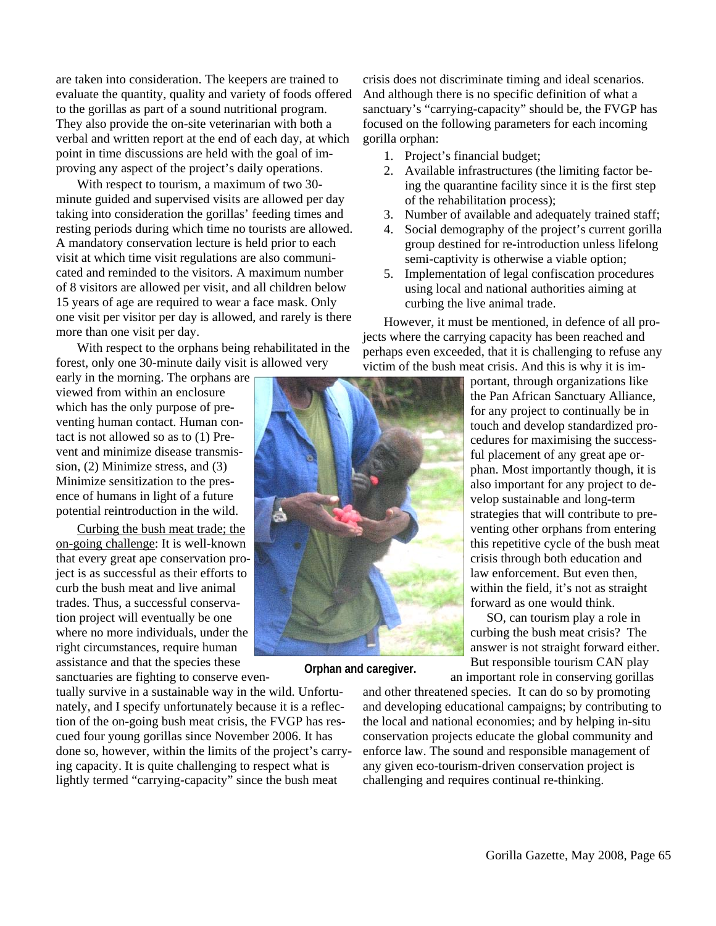are taken into consideration. The keepers are trained to evaluate the quantity, quality and variety of foods offered to the gorillas as part of a sound nutritional program. They also provide the on-site veterinarian with both a verbal and written report at the end of each day, at which point in time discussions are held with the goal of improving any aspect of the project's daily operations.

With respect to tourism, a maximum of two 30 minute guided and supervised visits are allowed per day taking into consideration the gorillas' feeding times and resting periods during which time no tourists are allowed. A mandatory conservation lecture is held prior to each visit at which time visit regulations are also communicated and reminded to the visitors. A maximum number of 8 visitors are allowed per visit, and all children below 15 years of age are required to wear a face mask. Only one visit per visitor per day is allowed, and rarely is there more than one visit per day.

With respect to the orphans being rehabilitated in the forest, only one 30-minute daily visit is allowed very

early in the morning. The orphans are viewed from within an enclosure which has the only purpose of preventing human contact. Human contact is not allowed so as to (1) Prevent and minimize disease transmission, (2) Minimize stress, and (3) Minimize sensitization to the presence of humans in light of a future potential reintroduction in the wild.

Curbing the bush meat trade; the on-going challenge: It is well-known that every great ape conservation project is as successful as their efforts to curb the bush meat and live animal trades. Thus, a successful conservation project will eventually be one where no more individuals, under the right circumstances, require human assistance and that the species these sanctuaries are fighting to conserve even-

tually survive in a sustainable way in the wild. Unfortunately, and I specify unfortunately because it is a reflection of the on-going bush meat crisis, the FVGP has rescued four young gorillas since November 2006. It has done so, however, within the limits of the project's carrying capacity. It is quite challenging to respect what is lightly termed "carrying-capacity" since the bush meat

crisis does not discriminate timing and ideal scenarios. And although there is no specific definition of what a sanctuary's "carrying-capacity" should be, the FVGP has focused on the following parameters for each incoming gorilla orphan:

- 1. Project's financial budget;
- 2. Available infrastructures (the limiting factor being the quarantine facility since it is the first step of the rehabilitation process);
- 3. Number of available and adequately trained staff;
- 4. Social demography of the project's current gorilla group destined for re-introduction unless lifelong semi-captivity is otherwise a viable option;
- 5. Implementation of legal confiscation procedures using local and national authorities aiming at curbing the live animal trade.

However, it must be mentioned, in defence of all projects where the carrying capacity has been reached and perhaps even exceeded, that it is challenging to refuse any victim of the bush meat crisis. And this is why it is im-

> portant, through organizations like the Pan African Sanctuary Alliance, for any project to continually be in touch and develop standardized procedures for maximising the successful placement of any great ape orphan. Most importantly though, it is also important for any project to develop sustainable and long-term strategies that will contribute to preventing other orphans from entering this repetitive cycle of the bush meat crisis through both education and law enforcement. But even then, within the field, it's not as straight forward as one would think.

> SO, can tourism play a role in curbing the bush meat crisis? The answer is not straight forward either. But responsible tourism CAN play



**Orphan and caregiver.** 

an important role in conserving gorillas and other threatened species. It can do so by promoting and developing educational campaigns; by contributing to the local and national economies; and by helping in-situ conservation projects educate the global community and enforce law. The sound and responsible management of any given eco-tourism-driven conservation project is challenging and requires continual re-thinking.